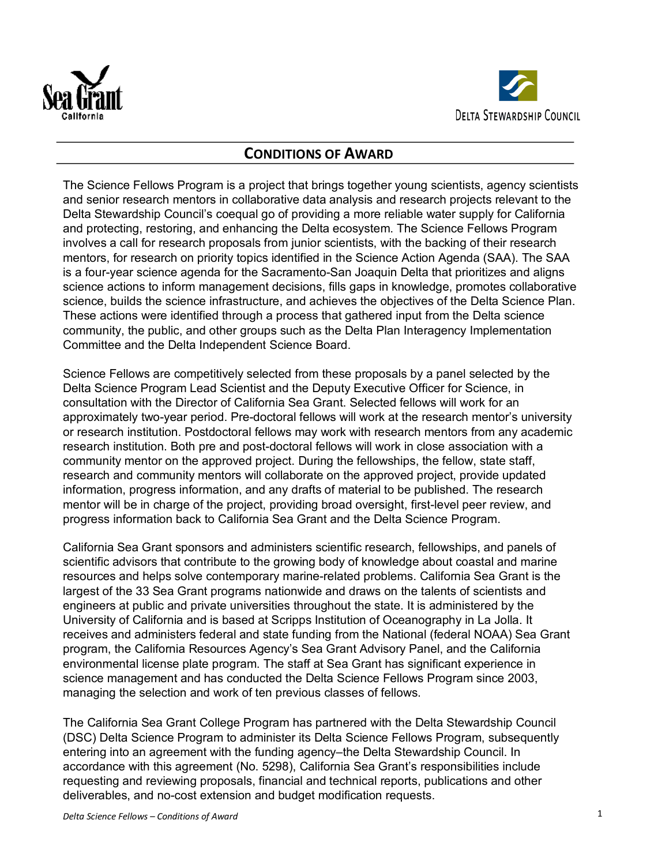



# **CONDITIONS OF AWARD**

The Science Fellows Program is a project that brings together young scientists, agency scientists and senior research mentors in collaborative data analysis and research projects relevant to the Delta Stewardship Council's coequal go of providing a more reliable water supply for California and protecting, restoring, and enhancing the Delta ecosystem. The Science Fellows Program involves a call for research proposals from junior scientists, with the backing of their research mentors, for research on priority topics identified in the Science Action Agenda (SAA). The SAA is a four-year science agenda for the Sacramento-San Joaquin Delta that prioritizes and aligns science actions to inform management decisions, fills gaps in knowledge, promotes collaborative science, builds the science infrastructure, and achieves the objectives of the Delta Science Plan. These actions were identified through a process that gathered input from the Delta science community, the public, and other groups such as the Delta Plan Interagency Implementation Committee and the Delta Independent Science Board.

Science Fellows are competitively selected from these proposals by a panel selected by the Delta Science Program Lead Scientist and the Deputy Executive Officer for Science, in consultation with the Director of California Sea Grant. Selected fellows will work for an approximately two-year period. Pre-doctoral fellows will work at the research mentor's university or research institution. Postdoctoral fellows may work with research mentors from any academic research institution. Both pre and post-doctoral fellows will work in close association with a community mentor on the approved project. During the fellowships, the fellow, state staff, research and community mentors will collaborate on the approved project, provide updated information, progress information, and any drafts of material to be published. The research mentor will be in charge of the project, providing broad oversight, first-level peer review, and progress information back to California Sea Grant and the Delta Science Program.

California Sea Grant sponsors and administers scientific research, fellowships, and panels of scientific advisors that contribute to the growing body of knowledge about coastal and marine resources and helps solve contemporary marine-related problems. California Sea Grant is the largest of the 33 Sea Grant programs nationwide and draws on the talents of scientists and engineers at public and private universities throughout the state. It is administered by the University of California and is based at Scripps Institution of Oceanography in La Jolla. It receives and administers federal and state funding from the National (federal NOAA) Sea Grant program, the California Resources Agency's Sea Grant Advisory Panel, and the California environmental license plate program. The staff at Sea Grant has significant experience in science management and has conducted the Delta Science Fellows Program since 2003, managing the selection and work of ten previous classes of fellows.

The California Sea Grant College Program has partnered with the Delta Stewardship Council (DSC) Delta Science Program to administer its Delta Science Fellows Program, subsequently entering into an agreement with the funding agency–the Delta Stewardship Council. In accordance with this agreement (No. 5298), California Sea Grant's responsibilities include requesting and reviewing proposals, financial and technical reports, publications and other deliverables, and no-cost extension and budget modification requests.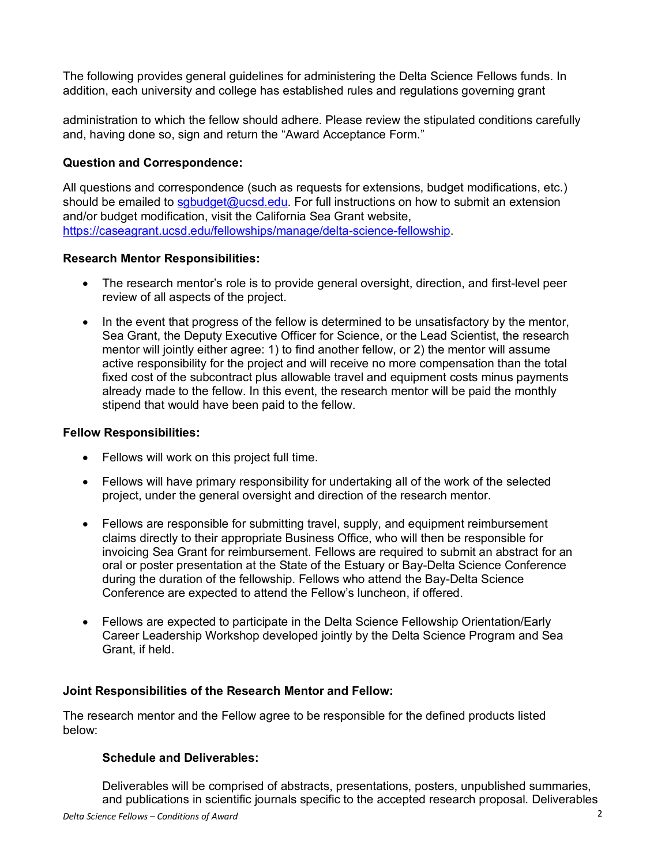The following provides general guidelines for administering the Delta Science Fellows funds. In addition, each university and college has established rules and regulations governing grant

administration to which the fellow should adhere. Please review the stipulated conditions carefully and, having done so, sign and return the "Award Acceptance Form."

## **Question and Correspondence:**

All questions and correspondence (such as requests for extensions, budget modifications, etc.) should be emailed to sabudget@ucsd.edu. For full instructions on how to submit an extension and/or budget modification, visit the California Sea Grant website, https://caseagrant.ucsd.edu/fellowships/manage/delta-science-fellowship.

### **Research Mentor Responsibilities:**

- The research mentor's role is to provide general oversight, direction, and first-level peer review of all aspects of the project.
- In the event that progress of the fellow is determined to be unsatisfactory by the mentor, Sea Grant, the Deputy Executive Officer for Science, or the Lead Scientist, the research mentor will jointly either agree: 1) to find another fellow, or 2) the mentor will assume active responsibility for the project and will receive no more compensation than the total fixed cost of the subcontract plus allowable travel and equipment costs minus payments already made to the fellow. In this event, the research mentor will be paid the monthly stipend that would have been paid to the fellow.

### **Fellow Responsibilities:**

- Fellows will work on this project full time.
- Fellows will have primary responsibility for undertaking all of the work of the selected project, under the general oversight and direction of the research mentor.
- Fellows are responsible for submitting travel, supply, and equipment reimbursement claims directly to their appropriate Business Office, who will then be responsible for invoicing Sea Grant for reimbursement. Fellows are required to submit an abstract for an oral or poster presentation at the State of the Estuary or Bay-Delta Science Conference during the duration of the fellowship. Fellows who attend the Bay-Delta Science Conference are expected to attend the Fellow's luncheon, if offered.
- Fellows are expected to participate in the Delta Science Fellowship Orientation/Early Career Leadership Workshop developed jointly by the Delta Science Program and Sea Grant, if held.

### **Joint Responsibilities of the Research Mentor and Fellow:**

The research mentor and the Fellow agree to be responsible for the defined products listed below:

### **Schedule and Deliverables:**

Deliverables will be comprised of abstracts, presentations, posters, unpublished summaries, and publications in scientific journals specific to the accepted research proposal. Deliverables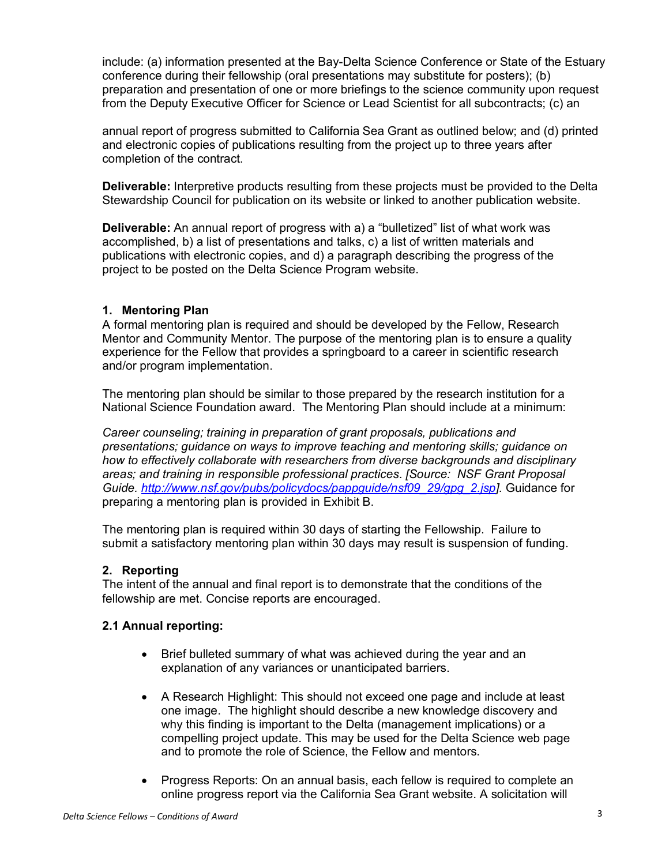include: (a) information presented at the Bay-Delta Science Conference or State of the Estuary conference during their fellowship (oral presentations may substitute for posters); (b) preparation and presentation of one or more briefings to the science community upon request from the Deputy Executive Officer for Science or Lead Scientist for all subcontracts; (c) an

annual report of progress submitted to California Sea Grant as outlined below; and (d) printed and electronic copies of publications resulting from the project up to three years after completion of the contract.

**Deliverable:** Interpretive products resulting from these projects must be provided to the Delta Stewardship Council for publication on its website or linked to another publication website.

**Deliverable:** An annual report of progress with a) a "bulletized" list of what work was accomplished, b) a list of presentations and talks, c) a list of written materials and publications with electronic copies, and d) a paragraph describing the progress of the project to be posted on the Delta Science Program website.

### **1. Mentoring Plan**

A formal mentoring plan is required and should be developed by the Fellow, Research Mentor and Community Mentor. The purpose of the mentoring plan is to ensure a quality experience for the Fellow that provides a springboard to a career in scientific research and/or program implementation.

The mentoring plan should be similar to those prepared by the research institution for a National Science Foundation award. The Mentoring Plan should include at a minimum:

*Career counseling; training in preparation of grant proposals, publications and presentations; guidance on ways to improve teaching and mentoring skills; guidance on how to effectively collaborate with researchers from diverse backgrounds and disciplinary areas; and training in responsible professional practices*. *[Source: NSF Grant Proposal Guide. http://www.nsf.gov/pubs/policydocs/pappguide/nsf09\_29/gpg\_2.jsp].* Guidance for preparing a mentoring plan is provided in Exhibit B.

The mentoring plan is required within 30 days of starting the Fellowship. Failure to submit a satisfactory mentoring plan within 30 days may result is suspension of funding.

### **2. Reporting**

The intent of the annual and final report is to demonstrate that the conditions of the fellowship are met. Concise reports are encouraged.

### **2.1 Annual reporting:**

- Brief bulleted summary of what was achieved during the year and an explanation of any variances or unanticipated barriers.
- A Research Highlight: This should not exceed one page and include at least one image. The highlight should describe a new knowledge discovery and why this finding is important to the Delta (management implications) or a compelling project update. This may be used for the Delta Science web page and to promote the role of Science, the Fellow and mentors.
- Progress Reports: On an annual basis, each fellow is required to complete an online progress report via the California Sea Grant website. A solicitation will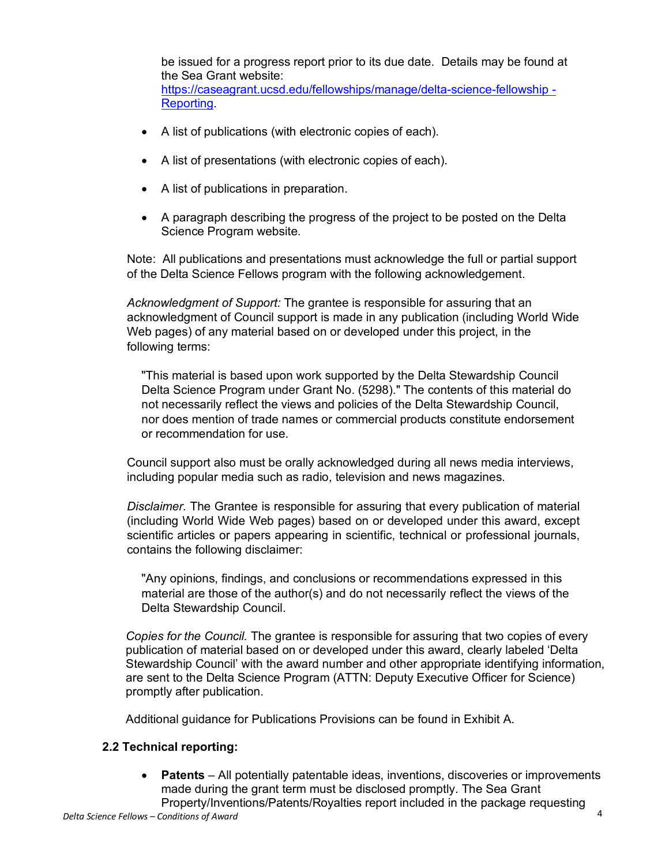be issued for a progress report prior to its due date. Details may be found at the Sea Grant website: https://caseagrant.ucsd.edu/fellowships/manage/delta-science-fellowship - Reporting.

- A list of publications (with electronic copies of each).
- A list of presentations (with electronic copies of each).
- A list of publications in preparation.
- A paragraph describing the progress of the project to be posted on the Delta Science Program website.

Note: All publications and presentations must acknowledge the full or partial support of the Delta Science Fellows program with the following acknowledgement.

*Acknowledgment of Support:* The grantee is responsible for assuring that an acknowledgment of Council support is made in any publication (including World Wide Web pages) of any material based on or developed under this project, in the following terms:

"This material is based upon work supported by the Delta Stewardship Council Delta Science Program under Grant No. (5298)." The contents of this material do not necessarily reflect the views and policies of the Delta Stewardship Council, nor does mention of trade names or commercial products constitute endorsement or recommendation for use.

Council support also must be orally acknowledged during all news media interviews, including popular media such as radio, television and news magazines.

*Disclaimer.* The Grantee is responsible for assuring that every publication of material (including World Wide Web pages) based on or developed under this award, except scientific articles or papers appearing in scientific, technical or professional journals, contains the following disclaimer:

"Any opinions, findings, and conclusions or recommendations expressed in this material are those of the author(s) and do not necessarily reflect the views of the Delta Stewardship Council.

*Copies for the Council.* The grantee is responsible for assuring that two copies of every publication of material based on or developed under this award, clearly labeled 'Delta Stewardship Council' with the award number and other appropriate identifying information, are sent to the Delta Science Program (ATTN: Deputy Executive Officer for Science) promptly after publication.

Additional guidance for Publications Provisions can be found in Exhibit A.

## **2.2 Technical reporting:**

• **Patents** – All potentially patentable ideas, inventions, discoveries or improvements made during the grant term must be disclosed promptly. The Sea Grant Property/Inventions/Patents/Royalties report included in the package requesting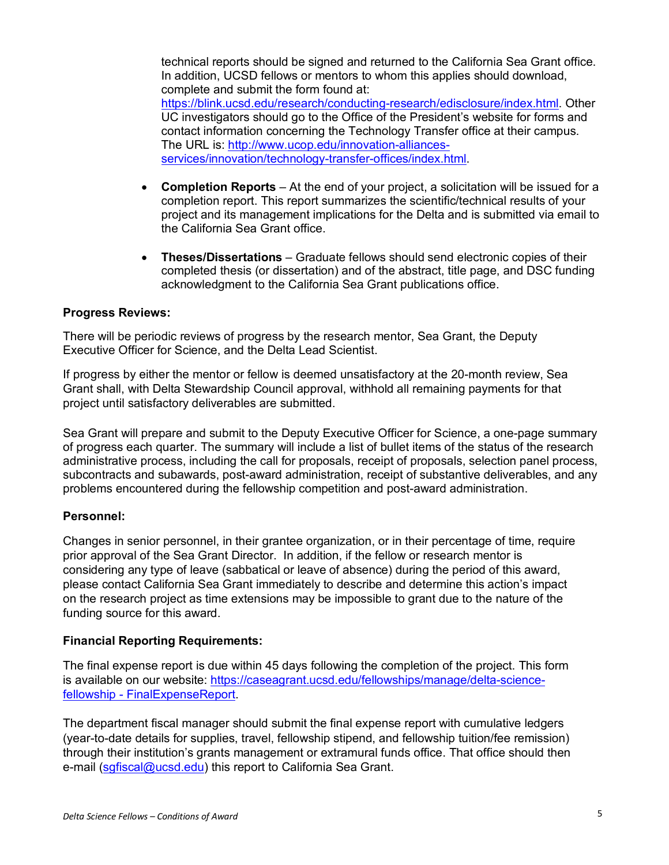technical reports should be signed and returned to the California Sea Grant office. In addition, UCSD fellows or mentors to whom this applies should download, complete and submit the form found at: https://blink.ucsd.edu/research/conducting-research/edisclosure/index.html. Other UC investigators should go to the Office of the President's website for forms and contact information concerning the Technology Transfer office at their campus. The URL is: http://www.ucop.edu/innovation-alliancesservices/innovation/technology-transfer-offices/index.html.

- **Completion Reports** At the end of your project, a solicitation will be issued for a completion report. This report summarizes the scientific/technical results of your project and its management implications for the Delta and is submitted via email to the California Sea Grant office.
- **Theses/Dissertations** Graduate fellows should send electronic copies of their completed thesis (or dissertation) and of the abstract, title page, and DSC funding acknowledgment to the California Sea Grant publications office.

#### **Progress Reviews:**

There will be periodic reviews of progress by the research mentor, Sea Grant, the Deputy Executive Officer for Science, and the Delta Lead Scientist.

If progress by either the mentor or fellow is deemed unsatisfactory at the 20-month review, Sea Grant shall, with Delta Stewardship Council approval, withhold all remaining payments for that project until satisfactory deliverables are submitted.

Sea Grant will prepare and submit to the Deputy Executive Officer for Science, a one-page summary of progress each quarter. The summary will include a list of bullet items of the status of the research administrative process, including the call for proposals, receipt of proposals, selection panel process, subcontracts and subawards, post-award administration, receipt of substantive deliverables, and any problems encountered during the fellowship competition and post-award administration.

#### **Personnel:**

Changes in senior personnel, in their grantee organization, or in their percentage of time, require prior approval of the Sea Grant Director. In addition, if the fellow or research mentor is considering any type of leave (sabbatical or leave of absence) during the period of this award, please contact California Sea Grant immediately to describe and determine this action's impact on the research project as time extensions may be impossible to grant due to the nature of the funding source for this award.

#### **Financial Reporting Requirements:**

The final expense report is due within 45 days following the completion of the project. This form is available on our website: https://caseagrant.ucsd.edu/fellowships/manage/delta-sciencefellowship - FinalExpenseReport.

The department fiscal manager should submit the final expense report with cumulative ledgers (year-to-date details for supplies, travel, fellowship stipend, and fellowship tuition/fee remission) through their institution's grants management or extramural funds office. That office should then e-mail (sgfiscal@ucsd.edu) this report to California Sea Grant.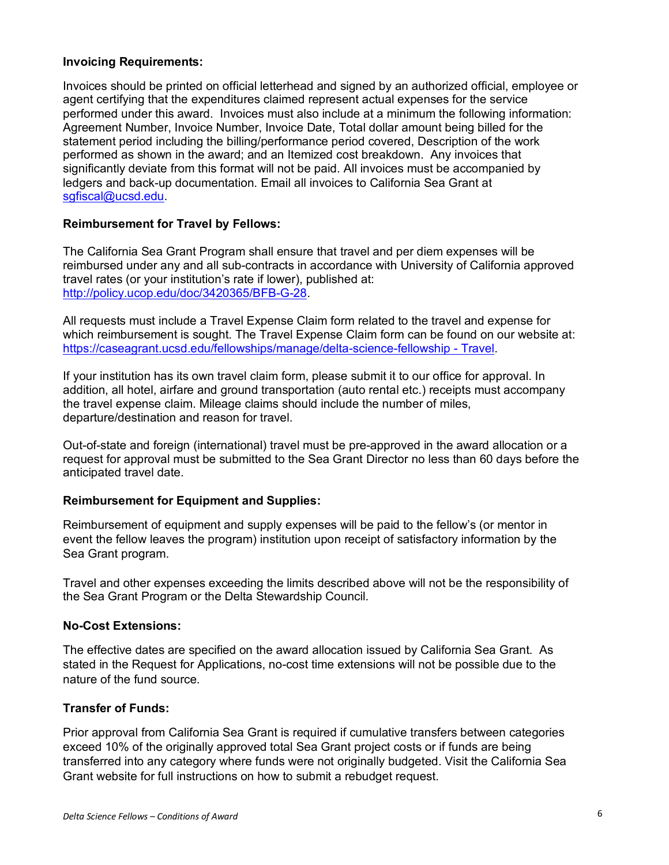#### **Invoicing Requirements:**

Invoices should be printed on official letterhead and signed by an authorized official, employee or agent certifying that the expenditures claimed represent actual expenses for the service performed under this award. Invoices must also include at a minimum the following information: Agreement Number, Invoice Number, Invoice Date, Total dollar amount being billed for the statement period including the billing/performance period covered, Description of the work performed as shown in the award; and an Itemized cost breakdown. Any invoices that significantly deviate from this format will not be paid. All invoices must be accompanied by ledgers and back-up documentation. Email all invoices to California Sea Grant at sgfiscal@ucsd.edu.

#### **Reimbursement for Travel by Fellows:**

The California Sea Grant Program shall ensure that travel and per diem expenses will be reimbursed under any and all sub-contracts in accordance with University of California approved travel rates (or your institution's rate if lower), published at: http://policy.ucop.edu/doc/3420365/BFB-G-28.

All requests must include a Travel Expense Claim form related to the travel and expense for which reimbursement is sought. The Travel Expense Claim form can be found on our website at: https://caseagrant.ucsd.edu/fellowships/manage/delta-science-fellowship - Travel.

If your institution has its own travel claim form, please submit it to our office for approval. In addition, all hotel, airfare and ground transportation (auto rental etc.) receipts must accompany the travel expense claim. Mileage claims should include the number of miles, departure/destination and reason for travel.

Out-of-state and foreign (international) travel must be pre-approved in the award allocation or a request for approval must be submitted to the Sea Grant Director no less than 60 days before the anticipated travel date.

#### **Reimbursement for Equipment and Supplies:**

Reimbursement of equipment and supply expenses will be paid to the fellow's (or mentor in event the fellow leaves the program) institution upon receipt of satisfactory information by the Sea Grant program.

Travel and other expenses exceeding the limits described above will not be the responsibility of the Sea Grant Program or the Delta Stewardship Council.

#### **No-Cost Extensions:**

The effective dates are specified on the award allocation issued by California Sea Grant. As stated in the Request for Applications, no-cost time extensions will not be possible due to the nature of the fund source.

#### **Transfer of Funds:**

Prior approval from California Sea Grant is required if cumulative transfers between categories exceed 10% of the originally approved total Sea Grant project costs or if funds are being transferred into any category where funds were not originally budgeted. Visit the California Sea Grant website for full instructions on how to submit a rebudget request.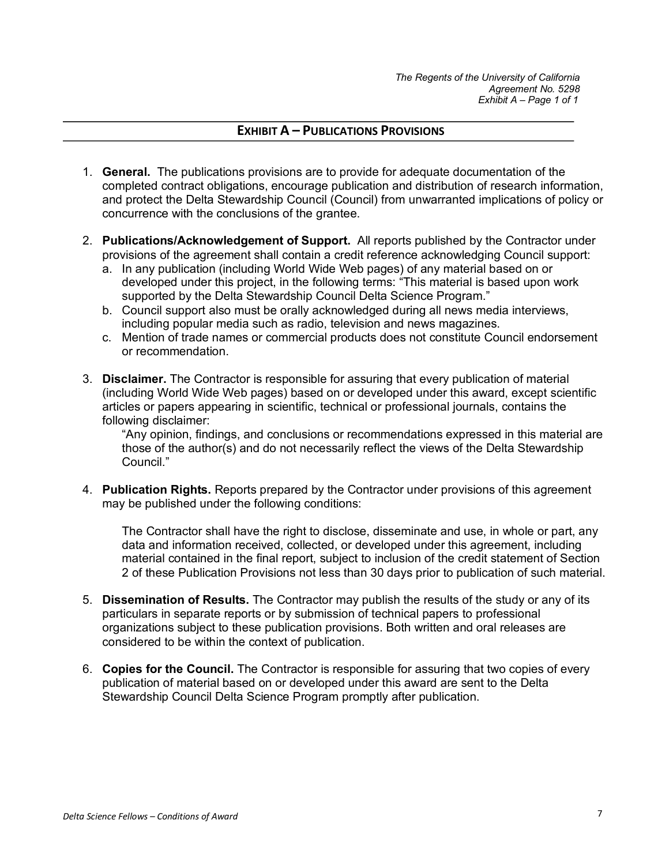## **EXHIBIT A – PUBLICATIONS PROVISIONS**

- 1. **General.** The publications provisions are to provide for adequate documentation of the completed contract obligations, encourage publication and distribution of research information, and protect the Delta Stewardship Council (Council) from unwarranted implications of policy or concurrence with the conclusions of the grantee.
- 2. **Publications/Acknowledgement of Support.** All reports published by the Contractor under provisions of the agreement shall contain a credit reference acknowledging Council support:
	- a. In any publication (including World Wide Web pages) of any material based on or developed under this project, in the following terms: "This material is based upon work supported by the Delta Stewardship Council Delta Science Program."
	- b. Council support also must be orally acknowledged during all news media interviews, including popular media such as radio, television and news magazines.
	- c. Mention of trade names or commercial products does not constitute Council endorsement or recommendation.
- 3. **Disclaimer.** The Contractor is responsible for assuring that every publication of material (including World Wide Web pages) based on or developed under this award, except scientific articles or papers appearing in scientific, technical or professional journals, contains the following disclaimer:

"Any opinion, findings, and conclusions or recommendations expressed in this material are those of the author(s) and do not necessarily reflect the views of the Delta Stewardship Council."

4. **Publication Rights.** Reports prepared by the Contractor under provisions of this agreement may be published under the following conditions:

The Contractor shall have the right to disclose, disseminate and use, in whole or part, any data and information received, collected, or developed under this agreement, including material contained in the final report, subject to inclusion of the credit statement of Section 2 of these Publication Provisions not less than 30 days prior to publication of such material.

- 5. **Dissemination of Results.** The Contractor may publish the results of the study or any of its particulars in separate reports or by submission of technical papers to professional organizations subject to these publication provisions. Both written and oral releases are considered to be within the context of publication.
- 6. **Copies for the Council.** The Contractor is responsible for assuring that two copies of every publication of material based on or developed under this award are sent to the Delta Stewardship Council Delta Science Program promptly after publication.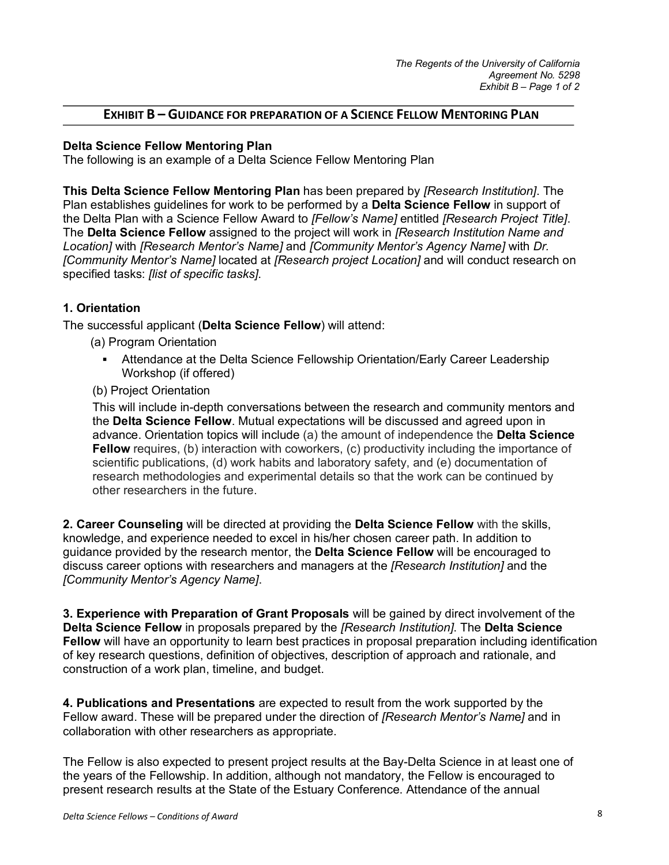## **EXHIBIT B – GUIDANCE FOR PREPARATION OF A SCIENCE FELLOW MENTORING PLAN**

#### **Delta Science Fellow Mentoring Plan**

The following is an example of a Delta Science Fellow Mentoring Plan

**This Delta Science Fellow Mentoring Plan** has been prepared by *[Research Institution]*. The Plan establishes guidelines for work to be performed by a **Delta Science Fellow** in support of the Delta Plan with a Science Fellow Award to *[Fellow's Name]* entitled *[Research Project Title]*. The **Delta Science Fellow** assigned to the project will work in *[Research Institution Name and Location]* with *[Research Mentor's Nam*e*]* and *[Community Mentor's Agency Name]* with *Dr. [Community Mentor's Name]* located at *[Research project Location]* and will conduct research on specified tasks: *[list of specific tasks]*.

#### **1. Orientation**

The successful applicant (**Delta Science Fellow**) will attend:

- (a) Program Orientation
	- § Attendance at the Delta Science Fellowship Orientation/Early Career Leadership Workshop (if offered)
- (b) Project Orientation

This will include in-depth conversations between the research and community mentors and the **Delta Science Fellow**. Mutual expectations will be discussed and agreed upon in advance. Orientation topics will include (a) the amount of independence the **Delta Science Fellow** requires, (b) interaction with coworkers, (c) productivity including the importance of scientific publications, (d) work habits and laboratory safety, and (e) documentation of research methodologies and experimental details so that the work can be continued by other researchers in the future.

**2. Career Counseling** will be directed at providing the **Delta Science Fellow** with the skills, knowledge, and experience needed to excel in his/her chosen career path. In addition to guidance provided by the research mentor, the **Delta Science Fellow** will be encouraged to discuss career options with researchers and managers at the *[Research Institution]* and the *[Community Mentor's Agency Name]*.

**3. Experience with Preparation of Grant Proposals** will be gained by direct involvement of the **Delta Science Fellow** in proposals prepared by the *[Research Institution]*. The **Delta Science Fellow** will have an opportunity to learn best practices in proposal preparation including identification of key research questions, definition of objectives, description of approach and rationale, and construction of a work plan, timeline, and budget.

**4. Publications and Presentations** are expected to result from the work supported by the Fellow award. These will be prepared under the direction of *[Research Mentor's Nam*e*]* and in collaboration with other researchers as appropriate.

The Fellow is also expected to present project results at the Bay-Delta Science in at least one of the years of the Fellowship. In addition, although not mandatory, the Fellow is encouraged to present research results at the State of the Estuary Conference. Attendance of the annual